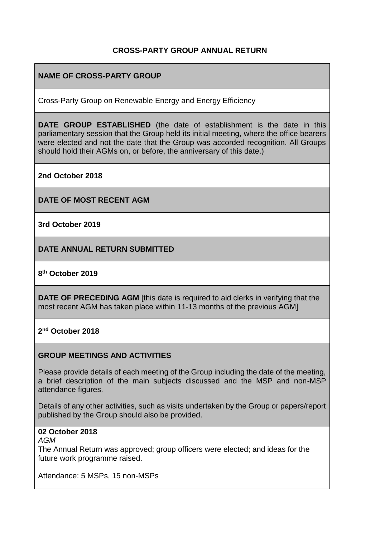## **CROSS-PARTY GROUP ANNUAL RETURN**

## **NAME OF CROSS-PARTY GROUP**

Cross-Party Group on Renewable Energy and Energy Efficiency

**DATE GROUP ESTABLISHED** (the date of establishment is the date in this parliamentary session that the Group held its initial meeting, where the office bearers were elected and not the date that the Group was accorded recognition. All Groups should hold their AGMs on, or before, the anniversary of this date.)

**2nd October 2018**

**DATE OF MOST RECENT AGM**

**3rd October 2019**

**DATE ANNUAL RETURN SUBMITTED**

## **8 th October 2019**

**DATE OF PRECEDING AGM** [this date is required to aid clerks in verifying that the most recent AGM has taken place within 11-13 months of the previous AGM]

**2 nd October 2018**

#### **GROUP MEETINGS AND ACTIVITIES**

Please provide details of each meeting of the Group including the date of the meeting, a brief description of the main subjects discussed and the MSP and non-MSP attendance figures.

Details of any other activities, such as visits undertaken by the Group or papers/report published by the Group should also be provided.

## **02 October 2018**

*AGM*

The Annual Return was approved; group officers were elected; and ideas for the future work programme raised.

Attendance: 5 MSPs, 15 non-MSPs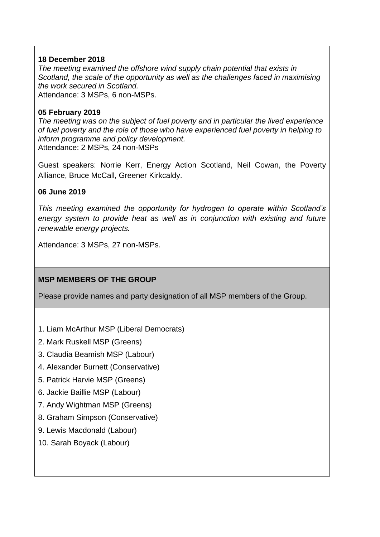## **18 December 2018**

*The meeting examined the offshore wind supply chain potential that exists in Scotland, the scale of the opportunity as well as the challenges faced in maximising the work secured in Scotland.* Attendance: 3 MSPs, 6 non-MSPs.

## **05 February 2019**

*The meeting was on the subject of fuel poverty and in particular the lived experience of fuel poverty and the role of those who have experienced fuel poverty in helping to inform programme and policy development.* Attendance: 2 MSPs, 24 non-MSPs

Guest speakers: Norrie Kerr, Energy Action Scotland, Neil Cowan, the Poverty Alliance, Bruce McCall, Greener Kirkcaldy.

## **06 June 2019**

*This meeting examined the opportunity for hydrogen to operate within Scotland's energy system to provide heat as well as in conjunction with existing and future renewable energy projects.*

Attendance: 3 MSPs, 27 non-MSPs.

# **MSP MEMBERS OF THE GROUP**

Please provide names and party designation of all MSP members of the Group.

- 1. Liam McArthur MSP (Liberal Democrats)
- 2. Mark Ruskell MSP (Greens)
- 3. Claudia Beamish MSP (Labour)
- 4. Alexander Burnett (Conservative)
- 5. Patrick Harvie MSP (Greens)
- 6. Jackie Baillie MSP (Labour)
- 7. Andy Wightman MSP (Greens)
- 8. Graham Simpson (Conservative)
- 9. Lewis Macdonald (Labour)
- 10. Sarah Boyack (Labour)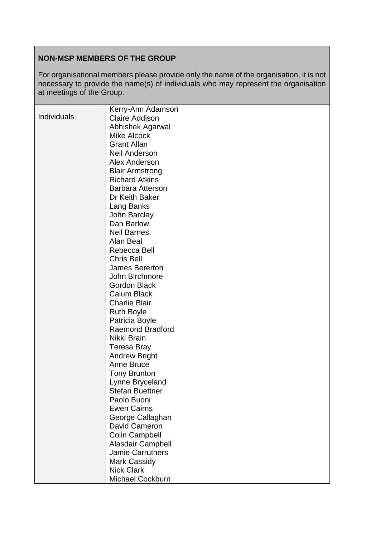# **NON-MSP MEMBERS OF THE GROUP**

For organisational members please provide only the name of the organisation, it is not necessary to provide the name(s) of individuals who may represent the organisation at meetings of the Group.

|                    | Kerry-Ann Adamson                         |
|--------------------|-------------------------------------------|
| <b>Individuals</b> | <b>Claire Addison</b>                     |
|                    | Abhishek Agarwal                          |
|                    | <b>Mike Alcock</b>                        |
|                    | <b>Grant Allan</b>                        |
|                    | <b>Neil Anderson</b>                      |
|                    | <b>Alex Anderson</b>                      |
|                    | <b>Blair Armstrong</b>                    |
|                    | <b>Richard Atkins</b>                     |
|                    | <b>Barbara Atterson</b>                   |
|                    | Dr Keith Baker                            |
|                    | Lang Banks                                |
|                    | John Barclay                              |
|                    | Dan Barlow                                |
|                    | <b>Neil Barnes</b>                        |
|                    | Alan Beal                                 |
|                    | Rebecca Bell                              |
|                    | <b>Chris Bell</b>                         |
|                    | <b>James Bererton</b>                     |
|                    | John Birchmore                            |
|                    | <b>Gordon Black</b>                       |
|                    | <b>Calum Black</b>                        |
|                    | <b>Charlie Blair</b>                      |
|                    | <b>Ruth Boyle</b>                         |
|                    | Patricia Boyle                            |
|                    | <b>Raemond Bradford</b>                   |
|                    | Nikki Brain                               |
|                    |                                           |
|                    | Teresa Bray                               |
|                    | <b>Andrew Bright</b><br><b>Anne Bruce</b> |
|                    |                                           |
|                    | <b>Tony Brunton</b>                       |
|                    | Lynne Bryceland                           |
|                    | <b>Stefan Buettner</b>                    |
|                    | Paolo Buoni                               |
|                    | <b>Ewen Cairns</b>                        |
|                    | George Callaghan                          |
|                    | David Cameron                             |
|                    | <b>Colin Campbell</b>                     |
|                    | Alasdair Campbell                         |
|                    | <b>Jamie Carruthers</b>                   |
|                    | <b>Mark Cassidy</b>                       |
|                    | <b>Nick Clark</b>                         |
|                    | Michael Cockburn                          |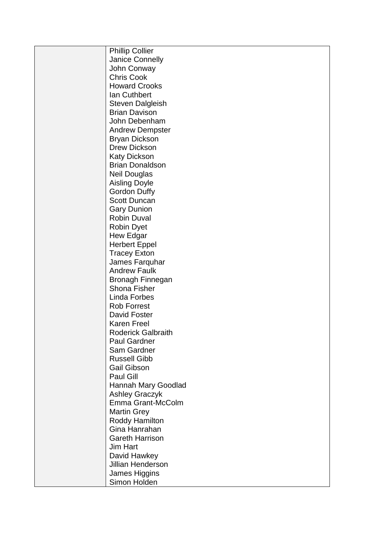| <b>Phillip Collier</b>                      |
|---------------------------------------------|
| Janice Connelly                             |
| John Conway                                 |
| <b>Chris Cook</b>                           |
| <b>Howard Crooks</b>                        |
| Ian Cuthbert                                |
| <b>Steven Dalgleish</b>                     |
| <b>Brian Davison</b>                        |
| John Debenham                               |
| <b>Andrew Dempster</b>                      |
| <b>Bryan Dickson</b>                        |
| <b>Drew Dickson</b>                         |
| <b>Katy Dickson</b>                         |
| <b>Brian Donaldson</b>                      |
| <b>Neil Douglas</b>                         |
|                                             |
| <b>Aisling Doyle</b><br><b>Gordon Duffy</b> |
| <b>Scott Duncan</b>                         |
|                                             |
| <b>Gary Dunion</b>                          |
| <b>Robin Duval</b>                          |
| <b>Robin Dyet</b>                           |
| Hew Edgar                                   |
| <b>Herbert Eppel</b>                        |
| <b>Tracey Exton</b>                         |
| James Farquhar                              |
| <b>Andrew Faulk</b>                         |
| <b>Bronagh Finnegan</b>                     |
| <b>Shona Fisher</b>                         |
| <b>Linda Forbes</b>                         |
| <b>Rob Forrest</b>                          |
| David Foster                                |
| <b>Karen Freel</b>                          |
| <b>Roderick Galbraith</b>                   |
| <b>Paul Gardner</b>                         |
| Sam Gardner                                 |
| <b>Russell Gibb</b>                         |
| <b>Gail Gibson</b>                          |
| Paul Gill                                   |
| Hannah Mary Goodlad                         |
| <b>Ashley Graczyk</b>                       |
| Emma Grant-McColm                           |
| <b>Martin Grey</b>                          |
| Roddy Hamilton                              |
| Gina Hanrahan                               |
| <b>Gareth Harrison</b>                      |
| Jim Hart                                    |
| David Hawkey                                |
| <b>Jillian Henderson</b>                    |
| James Higgins                               |
| Simon Holden                                |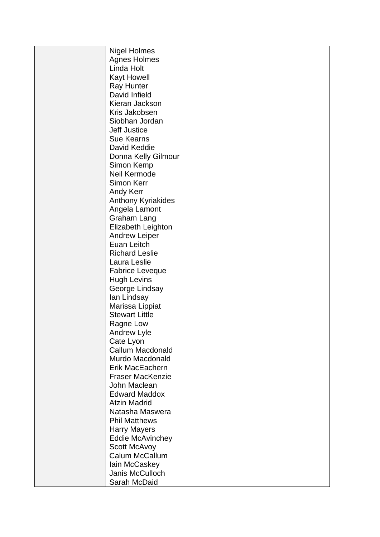| <b>Nigel Holmes</b>       |
|---------------------------|
| <b>Agnes Holmes</b>       |
| Linda Holt                |
| <b>Kayt Howell</b>        |
| <b>Ray Hunter</b>         |
| David Infield             |
| Kieran Jackson            |
| Kris Jakobsen             |
| Siobhan Jordan            |
| <b>Jeff Justice</b>       |
| <b>Sue Kearns</b>         |
| David Keddie              |
| Donna Kelly Gilmour       |
| Simon Kemp                |
| Neil Kermode              |
| <b>Simon Kerr</b>         |
| <b>Andy Kerr</b>          |
|                           |
| <b>Anthony Kyriakides</b> |
| Angela Lamont             |
| <b>Graham Lang</b>        |
| Elizabeth Leighton        |
| <b>Andrew Leiper</b>      |
| Euan Leitch               |
| <b>Richard Leslie</b>     |
| Laura Leslie              |
| <b>Fabrice Leveque</b>    |
| <b>Hugh Levins</b>        |
| George Lindsay            |
| lan Lindsay               |
| Marissa Lippiat           |
| <b>Stewart Little</b>     |
| Ragne Low                 |
| Andrew Lyle               |
| Cate Lyon                 |
| <b>Callum Macdonald</b>   |
| Murdo Macdonald           |
| Erik MacEachern           |
| <b>Fraser MacKenzie</b>   |
| John Maclean              |
| <b>Edward Maddox</b>      |
| <b>Atzin Madrid</b>       |
| Natasha Maswera           |
| <b>Phil Matthews</b>      |
| <b>Harry Mayers</b>       |
| <b>Eddie McAvinchey</b>   |
| <b>Scott McAvoy</b>       |
| Calum McCallum            |
| lain McCaskey             |
| Janis McCulloch           |
| Sarah McDaid              |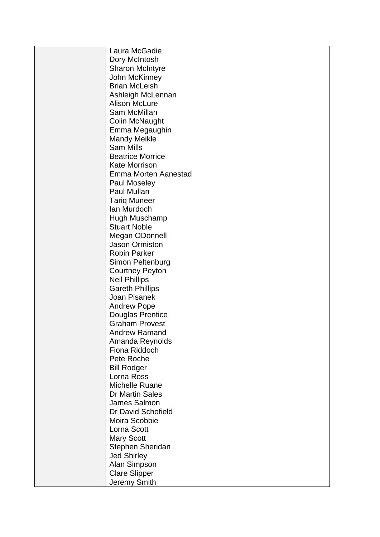| Laura McGadie           |
|-------------------------|
| Dory McIntosh           |
| <b>Sharon McIntyre</b>  |
| John McKinney           |
| <b>Brian McLeish</b>    |
| Ashleigh McLennan       |
| <b>Alison McLure</b>    |
| Sam McMillan            |
| <b>Colin McNaught</b>   |
| Emma Megaughin          |
| <b>Mandy Meikle</b>     |
| <b>Sam Mills</b>        |
| <b>Beatrice Morrice</b> |
| <b>Kate Morrison</b>    |
| Emma Morten Aanestad    |
| Paul Moseley            |
| Paul Mullan             |
| <b>Tariq Muneer</b>     |
| Ian Murdoch             |
| Hugh Muschamp           |
| <b>Stuart Noble</b>     |
| Megan ODonnell          |
| <b>Jason Ormiston</b>   |
| <b>Robin Parker</b>     |
| Simon Peltenburg        |
| <b>Courtney Peyton</b>  |
| <b>Neil Phillips</b>    |
| <b>Gareth Phillips</b>  |
| Joan Pisanek            |
| <b>Andrew Pope</b>      |
| <b>Douglas Prentice</b> |
| <b>Graham Provest</b>   |
| <b>Andrew Ramand</b>    |
| Amanda Reynolds         |
| Fiona Riddoch           |
| Pete Roche              |
| <b>Bill Rodger</b>      |
| Lorna Ross              |
| Michelle Ruane          |
| <b>Dr Martin Sales</b>  |
| James Salmon            |
| Dr David Schofield      |
| Moira Scobbie           |
| Lorna Scott             |
| <b>Mary Scott</b>       |
| Stephen Sheridan        |
| <b>Jed Shirley</b>      |
| Alan Simpson            |
| <b>Clare Slipper</b>    |
| Jeremy Smith            |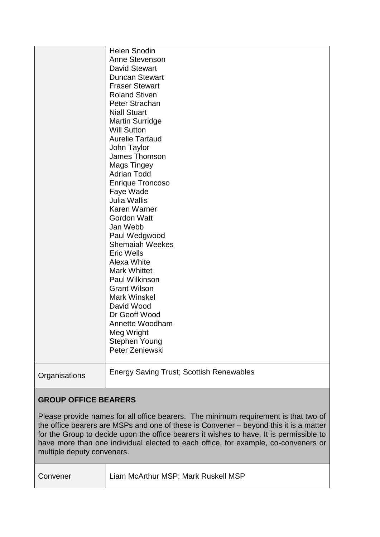|                             | <b>Helen Snodin</b>                             |
|-----------------------------|-------------------------------------------------|
|                             | Anne Stevenson                                  |
|                             | <b>David Stewart</b>                            |
|                             | <b>Duncan Stewart</b>                           |
|                             | <b>Fraser Stewart</b>                           |
|                             | <b>Roland Stiven</b>                            |
|                             | Peter Strachan                                  |
|                             | <b>Niall Stuart</b>                             |
|                             | <b>Martin Surridge</b>                          |
|                             | <b>Will Sutton</b>                              |
|                             | <b>Aurelie Tartaud</b>                          |
|                             | John Taylor                                     |
|                             | James Thomson                                   |
|                             | <b>Mags Tingey</b>                              |
|                             | <b>Adrian Todd</b>                              |
|                             | <b>Enrique Troncoso</b>                         |
|                             | Faye Wade                                       |
|                             | <b>Julia Wallis</b>                             |
|                             | <b>Karen Warner</b>                             |
|                             | <b>Gordon Watt</b>                              |
|                             | Jan Webb                                        |
|                             | Paul Wedgwood                                   |
|                             | <b>Shemaiah Weekes</b>                          |
|                             | <b>Eric Wells</b>                               |
|                             | Alexa White                                     |
|                             | <b>Mark Whittet</b>                             |
|                             | Paul Wilkinson                                  |
|                             | <b>Grant Wilson</b>                             |
|                             | Mark Winskel                                    |
|                             | David Wood                                      |
|                             | Dr Geoff Wood                                   |
|                             | Annette Woodham                                 |
|                             | Meg Wright                                      |
|                             | <b>Stephen Young</b>                            |
|                             | Peter Zeniewski                                 |
| Organisations               | <b>Energy Saving Trust; Scottish Renewables</b> |
| <b>GROUP OFFICE BEARERS</b> |                                                 |

Please provide names for all office bearers. The minimum requirement is that two of the office bearers are MSPs and one of these is Convener – beyond this it is a matter for the Group to decide upon the office bearers it wishes to have. It is permissible to have more than one individual elected to each office, for example, co-conveners or multiple deputy conveners.

| Convener | Liam McArthur MSP; Mark Ruskell MSP |
|----------|-------------------------------------|
|          |                                     |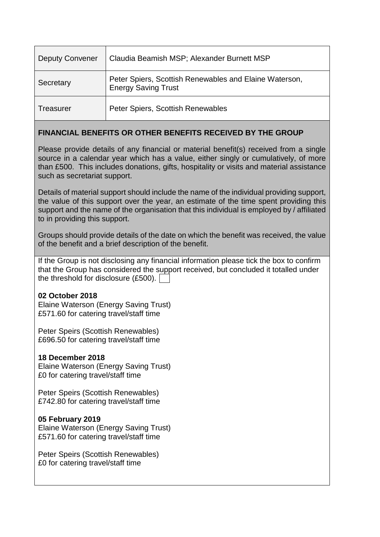| <b>Deputy Convener</b> | Claudia Beamish MSP; Alexander Burnett MSP                                           |
|------------------------|--------------------------------------------------------------------------------------|
| Secretary              | Peter Spiers, Scottish Renewables and Elaine Waterson,<br><b>Energy Saving Trust</b> |
| Treasurer              | Peter Spiers, Scottish Renewables                                                    |

## **FINANCIAL BENEFITS OR OTHER BENEFITS RECEIVED BY THE GROUP**

Please provide details of any financial or material benefit(s) received from a single source in a calendar year which has a value, either singly or cumulatively, of more than £500. This includes donations, gifts, hospitality or visits and material assistance such as secretariat support.

Details of material support should include the name of the individual providing support, the value of this support over the year, an estimate of the time spent providing this support and the name of the organisation that this individual is employed by / affiliated to in providing this support.

Groups should provide details of the date on which the benefit was received, the value of the benefit and a brief description of the benefit.

If the Group is not disclosing any financial information please tick the box to confirm that the Group has considered the support received, but concluded it totalled under the threshold for disclosure (£500).

## **02 October 2018**

Elaine Waterson (Energy Saving Trust) £571.60 for catering travel/staff time

Peter Speirs (Scottish Renewables) £696.50 for catering travel/staff time

## **18 December 2018**

Elaine Waterson (Energy Saving Trust) £0 for catering travel/staff time

Peter Speirs (Scottish Renewables) £742.80 for catering travel/staff time

#### **05 February 2019**

Elaine Waterson (Energy Saving Trust) £571.60 for catering travel/staff time

Peter Speirs (Scottish Renewables) £0 for catering travel/staff time